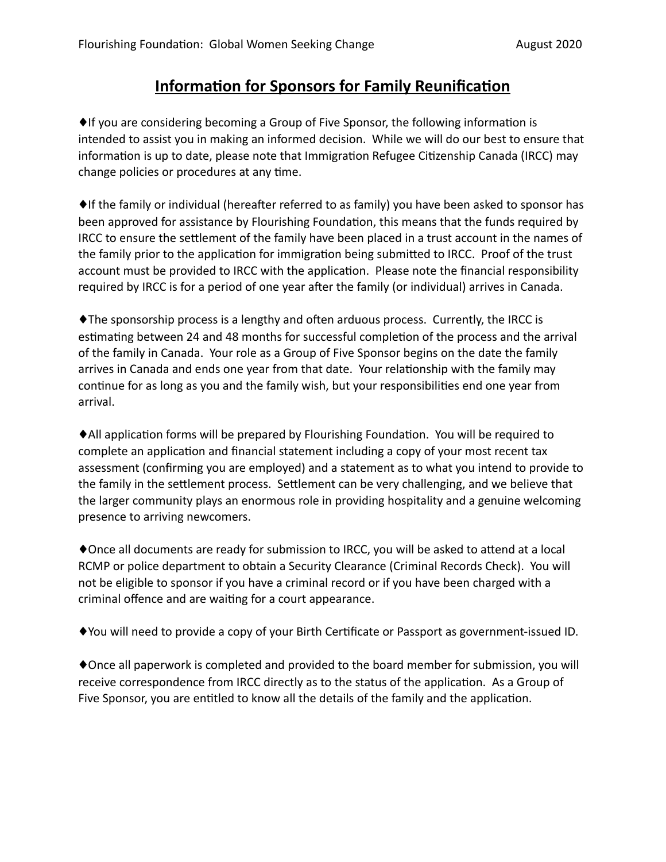## **Information for Sponsors for Family Reunification**

♦If you are considering becoming a Group of Five Sponsor, the following information is intended to assist you in making an informed decision. While we will do our best to ensure that information is up to date, please note that Immigration Refugee Citizenship Canada (IRCC) may change policies or procedures at any time.

♦If the family or individual (hereafter referred to as family) you have been asked to sponsor has been approved for assistance by Flourishing Foundation, this means that the funds required by IRCC to ensure the settlement of the family have been placed in a trust account in the names of the family prior to the application for immigration being submitted to IRCC. Proof of the trust account must be provided to IRCC with the application. Please note the financial responsibility required by IRCC is for a period of one year after the family (or individual) arrives in Canada.

♦The sponsorship process is a lengthy and often arduous process. Currently, the IRCC is estimating between 24 and 48 months for successful completion of the process and the arrival of the family in Canada. Your role as a Group of Five Sponsor begins on the date the family arrives in Canada and ends one year from that date. Your relationship with the family may continue for as long as you and the family wish, but your responsibilities end one year from arrival.

♦All application forms will be prepared by Flourishing Foundation. You will be required to complete an application and financial statement including a copy of your most recent tax assessment (confirming you are employed) and a statement as to what you intend to provide to the family in the settlement process. Settlement can be very challenging, and we believe that the larger community plays an enormous role in providing hospitality and a genuine welcoming presence to arriving newcomers.

♦Once all documents are ready for submission to IRCC, you will be asked to attend at a local RCMP or police department to obtain a Security Clearance (Criminal Records Check). You will not be eligible to sponsor if you have a criminal record or if you have been charged with a criminal offence and are waiting for a court appearance.

♦You will need to provide a copy of your Birth Certificate or Passport as government-issued ID.

♦Once all paperwork is completed and provided to the board member for submission, you will receive correspondence from IRCC directly as to the status of the application. As a Group of Five Sponsor, you are entitled to know all the details of the family and the application.